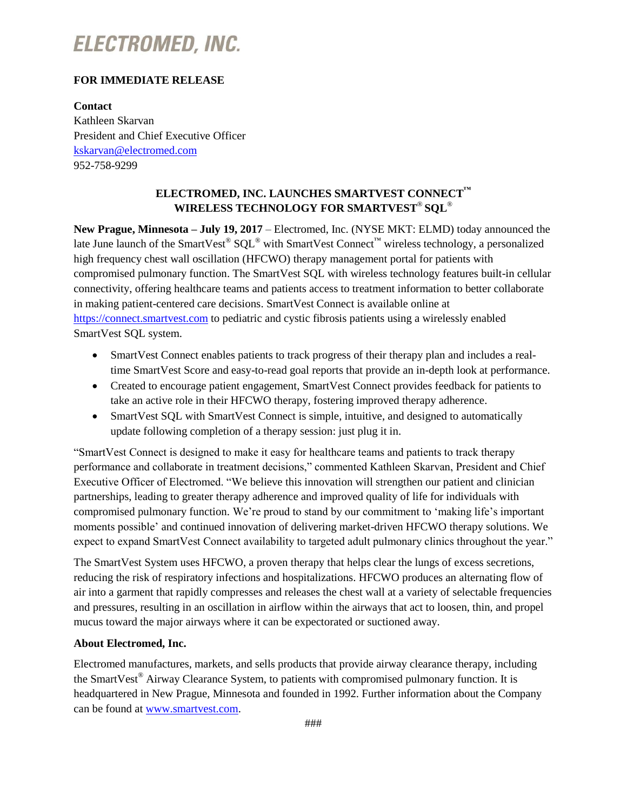## **ELECTROMED, INC.**

### **FOR IMMEDIATE RELEASE**

**Contact** Kathleen Skarvan President and Chief Executive Officer [kskarvan@electromed.com](mailto:kskarvan@electromed.com) 952-758-9299

## **ELECTROMED, INC. LAUNCHES SMARTVEST CONNECT™ WIRELESS TECHNOLOGY FOR SMARTVEST**® **SQL**®

**New Prague, Minnesota – July 19, 2017** – Electromed, Inc. (NYSE MKT: ELMD) today announced the late June launch of the SmartVest® SQL® with SmartVest Connect™ wireless technology, a personalized high frequency chest wall oscillation (HFCWO) therapy management portal for patients with compromised pulmonary function. The SmartVest SQL with wireless technology features built-in cellular connectivity, offering healthcare teams and patients access to treatment information to better collaborate in making patient-centered care decisions. SmartVest Connect is available online at [https://connect.smartvest.com](https://connect.smartvest.com/) to pediatric and cystic fibrosis patients using a wirelessly enabled SmartVest SQL system.

- SmartVest Connect enables patients to track progress of their therapy plan and includes a realtime SmartVest Score and easy-to-read goal reports that provide an in-depth look at performance.
- Created to encourage patient engagement, SmartVest Connect provides feedback for patients to take an active role in their HFCWO therapy, fostering improved therapy adherence.
- SmartVest SQL with SmartVest Connect is simple, intuitive, and designed to automatically update following completion of a therapy session: just plug it in.

"SmartVest Connect is designed to make it easy for healthcare teams and patients to track therapy performance and collaborate in treatment decisions," commented Kathleen Skarvan, President and Chief Executive Officer of Electromed. "We believe this innovation will strengthen our patient and clinician partnerships, leading to greater therapy adherence and improved quality of life for individuals with compromised pulmonary function. We're proud to stand by our commitment to 'making life's important moments possible' and continued innovation of delivering market-driven HFCWO therapy solutions. We expect to expand SmartVest Connect availability to targeted adult pulmonary clinics throughout the year."

The SmartVest System uses HFCWO, a proven therapy that helps clear the lungs of excess secretions, reducing the risk of respiratory infections and hospitalizations. HFCWO produces an alternating flow of air into a garment that rapidly compresses and releases the chest wall at a variety of selectable frequencies and pressures, resulting in an oscillation in airflow within the airways that act to loosen, thin, and propel mucus toward the major airways where it can be expectorated or suctioned away.

#### **About Electromed, Inc.**

Electromed manufactures, markets, and sells products that provide airway clearance therapy, including the SmartVest® Airway Clearance System, to patients with compromised pulmonary function. It is headquartered in New Prague, Minnesota and founded in 1992. Further information about the Company can be found at [www.smartvest.com.](http://www.smartvest.com/)